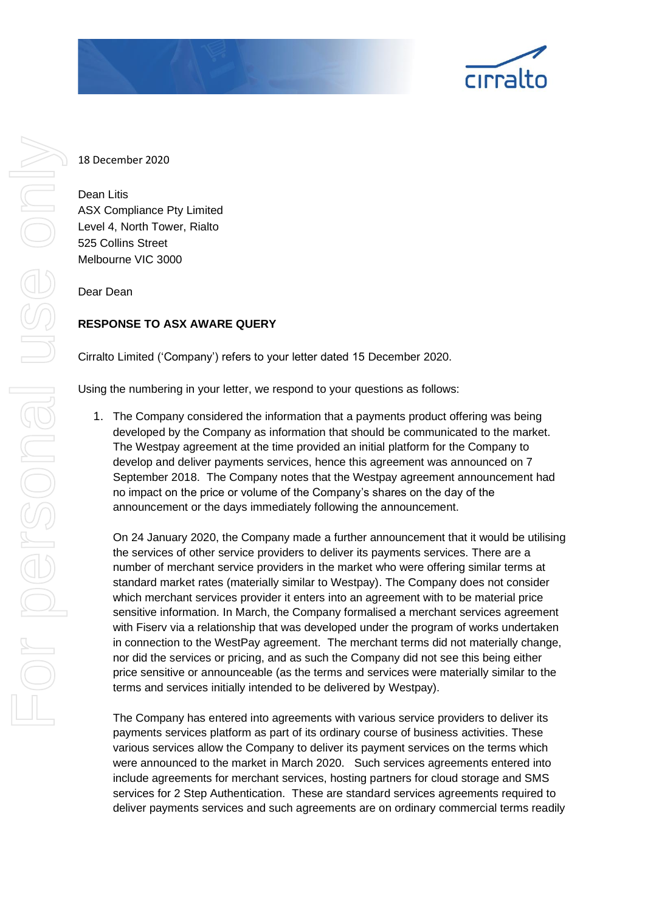

18 December 2020

Dean Litis ASX Compliance Pty Limited Level 4, North Tower, Rialto 525 Collins Street Melbourne VIC 3000

Dear Dean

# **RESPONSE TO ASX AWARE QUERY**

Cirralto Limited ('Company') refers to your letter dated 15 December 2020.

Using the numbering in your letter, we respond to your questions as follows:

1. The Company considered the information that a payments product offering was being developed by the Company as information that should be communicated to the market. The Westpay agreement at the time provided an initial platform for the Company to develop and deliver payments services, hence this agreement was announced on 7 September 2018. The Company notes that the Westpay agreement announcement had no impact on the price or volume of the Company's shares on the day of the announcement or the days immediately following the announcement.

On 24 January 2020, the Company made a further announcement that it would be utilising the services of other service providers to deliver its payments services. There are a number of merchant service providers in the market who were offering similar terms at standard market rates (materially similar to Westpay). The Company does not consider which merchant services provider it enters into an agreement with to be material price sensitive information. In March, the Company formalised a merchant services agreement with Fiserv via a relationship that was developed under the program of works undertaken in connection to the WestPay agreement. The merchant terms did not materially change, nor did the services or pricing, and as such the Company did not see this being either price sensitive or announceable (as the terms and services were materially similar to the terms and services initially intended to be delivered by Westpay).

The Company has entered into agreements with various service providers to deliver its payments services platform as part of its ordinary course of business activities. These various services allow the Company to deliver its payment services on the terms which were announced to the market in March 2020. Such services agreements entered into include agreements for merchant services, hosting partners for cloud storage and SMS services for 2 Step Authentication. These are standard services agreements required to deliver payments services and such agreements are on ordinary commercial terms readily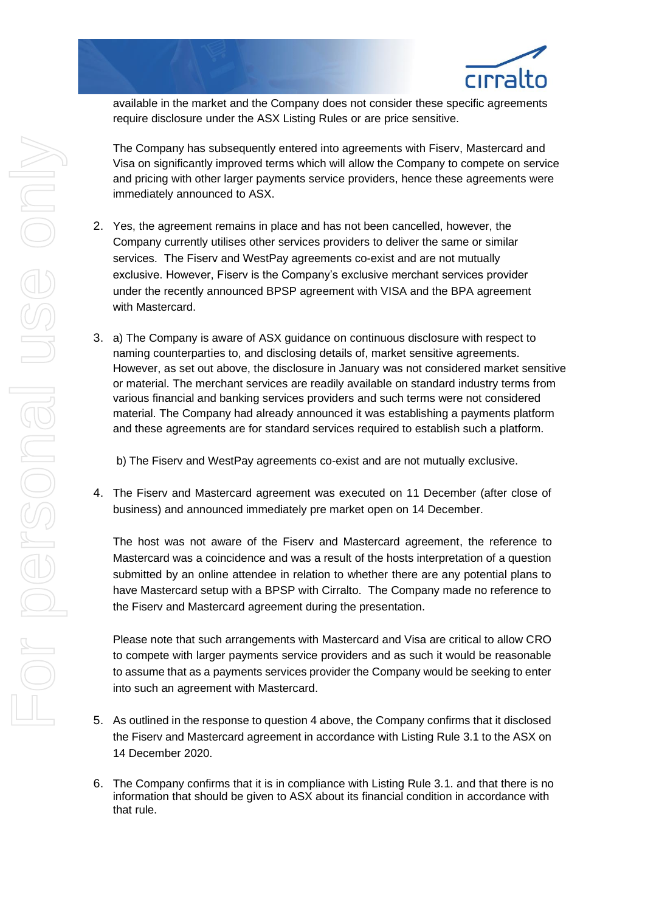

available in the market and the Company does not consider these specific agreements require disclosure under the ASX Listing Rules or are price sensitive.

The Company has subsequently entered into agreements with Fiserv, Mastercard and Visa on significantly improved terms which will allow the Company to compete on service and pricing with other larger payments service providers, hence these agreements were immediately announced to ASX.

- 2. Yes, the agreement remains in place and has not been cancelled, however, the Company currently utilises other services providers to deliver the same or similar services. The Fiserv and WestPay agreements co-exist and are not mutually exclusive. However, Fiserv is the Company's exclusive merchant services provider under the recently announced BPSP agreement with VISA and the BPA agreement with Mastercard.
- 3. a) The Company is aware of ASX guidance on continuous disclosure with respect to naming counterparties to, and disclosing details of, market sensitive agreements. However, as set out above, the disclosure in January was not considered market sensitive or material. The merchant services are readily available on standard industry terms from various financial and banking services providers and such terms were not considered material. The Company had already announced it was establishing a payments platform and these agreements are for standard services required to establish such a platform.

b) The Fiserv and WestPay agreements co-exist and are not mutually exclusive.

4. The Fiserv and Mastercard agreement was executed on 11 December (after close of business) and announced immediately pre market open on 14 December.

The host was not aware of the Fiserv and Mastercard agreement, the reference to Mastercard was a coincidence and was a result of the hosts interpretation of a question submitted by an online attendee in relation to whether there are any potential plans to have Mastercard setup with a BPSP with Cirralto. The Company made no reference to the Fiserv and Mastercard agreement during the presentation.

Please note that such arrangements with Mastercard and Visa are critical to allow CRO to compete with larger payments service providers and as such it would be reasonable to assume that as a payments services provider the Company would be seeking to enter into such an agreement with Mastercard.

- 5. As outlined in the response to question 4 above, the Company confirms that it disclosed the Fiserv and Mastercard agreement in accordance with Listing Rule 3.1 to the ASX on 14 December 2020.
- 6. The Company confirms that it is in compliance with Listing Rule 3.1. and that there is no information that should be given to ASX about its financial condition in accordance with that rule.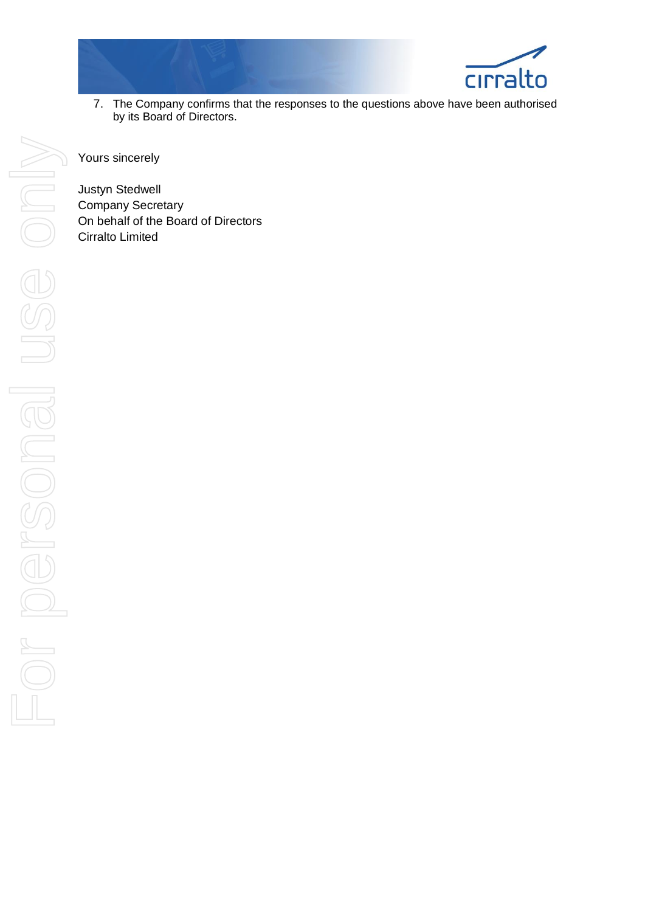

7. The Company confirms that the responses to the questions above have been authorised by its Board of Directors.

Yours sincerely

Justyn Stedwell Company Secretary On behalf of the Board of Directors Cirralto Limited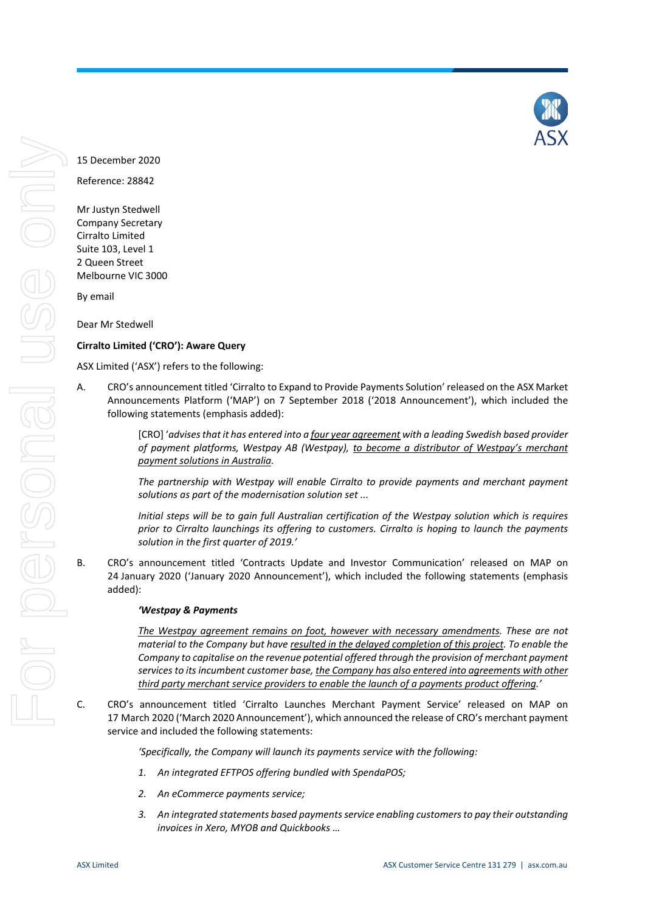Reference: 28842

Mr Justyn Stedwell Company Secretary Cirralto Limited Suite 103, Level 1 2 Queen Street Melbourne VIC 3000

By email

Dear Mr Stedwell

## **Cirralto Limited ('CRO'): Aware Query**

ASX Limited ('ASX') refers to the following:

A. CRO's announcement titled 'Cirralto to Expand to Provide Payments Solution' released on the ASX Market Announcements Platform ('MAP') on 7 September 2018 ('2018 Announcement'), which included the following statements (emphasis added):

> [CRO] '*advises that it has entered into a four year agreement with a leading Swedish based provider of payment platforms, Westpay AB (Westpay), to become a distributor of Westpay's merchant payment solutions in Australia.*

> *The partnership with Westpay will enable Cirralto to provide payments and merchant payment solutions as part of the modernisation solution set ...*

> *Initial steps will be to gain full Australian certification of the Westpay solution which is requires prior to Cirralto launchings its offering to customers. Cirralto is hoping to launch the payments solution in the first quarter of 2019.'*

B. CRO's announcement titled 'Contracts Update and Investor Communication' released on MAP on 24 January 2020 ('January 2020 Announcement'), which included the following statements (emphasis added):

### *'Westpay & Payments*

*The Westpay agreement remains on foot, however with necessary amendments. These are not material to the Company but have resulted in the delayed completion of this project. To enable the Company to capitalise on the revenue potential offered through the provision of merchant payment services to its incumbent customer base, the Company has also entered into agreements with other third party merchant service providers to enable the launch of a payments product offering.'*

C. CRO's announcement titled 'Cirralto Launches Merchant Payment Service' released on MAP on 17 March 2020 ('March 2020 Announcement'), which announced the release of CRO's merchant payment service and included the following statements:

*'Specifically, the Company will launch its payments service with the following:* 

- *1. An integrated EFTPOS offering bundled with SpendaPOS;*
- *2. An eCommerce payments service;*
- *3. An integrated statements based payments service enabling customers to pay their outstanding invoices in Xero, MYOB and Quickbooks …*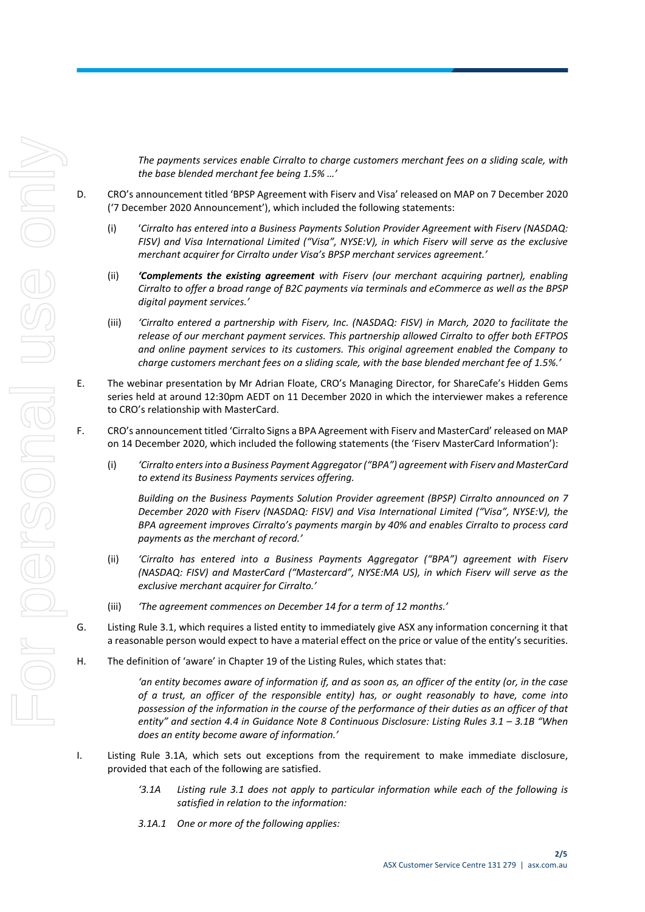*The payments services enable Cirralto to charge customers merchant fees on a sliding scale, with the base blended merchant fee being 1.5% …'*

- D. CRO's announcement titled 'BPSP Agreement with Fiserv and Visa' released on MAP on 7 December 2020 ('7 December 2020 Announcement'), which included the following statements:
	- (i) '*Cirralto has entered into a Business Payments Solution Provider Agreement with Fiserv (NASDAQ: FISV) and Visa International Limited ("Visa", NYSE:V), in which Fiserv will serve as the exclusive merchant acquirer for Cirralto under Visa's BPSP merchant services agreement.'*
	- (ii) *'Complements the existing agreement with Fiserv (our merchant acquiring partner), enabling Cirralto to offer a broad range of B2C payments via terminals and eCommerce as well as the BPSP digital payment services.'*
	- (iii) *'Cirralto entered a partnership with Fiserv, Inc. (NASDAQ: FISV) in March, 2020 to facilitate the release of our merchant payment services. This partnership allowed Cirralto to offer both EFTPOS and online payment services to its customers. This original agreement enabled the Company to charge customers merchant fees on a sliding scale, with the base blended merchant fee of 1.5%.'*
- <span id="page-4-0"></span>E. The webinar presentation by Mr Adrian Floate, CRO's Managing Director, for ShareCafe's Hidden Gems series held at around 12:30pm AEDT on 11 December 2020 in which the interviewer makes a reference to CRO's relationship with MasterCard.
- F. CRO's announcement titled 'Cirralto Signs a BPA Agreement with Fiserv and MasterCard' released on MAP on 14 December 2020, which included the following statements (the 'Fiserv MasterCard Information'):
	- (i) *'Cirralto enters into a Business Payment Aggregator ("BPA") agreement with Fiserv and MasterCard to extend its Business Payments services offering.*

*Building on the Business Payments Solution Provider agreement (BPSP) Cirralto announced on 7 December 2020 with Fiserv (NASDAQ: FISV) and Visa International Limited ("Visa", NYSE:V), the BPA agreement improves Cirralto's payments margin by 40% and enables Cirralto to process card payments as the merchant of record.'*

- (ii) *'Cirralto has entered into a Business Payments Aggregator ("BPA") agreement with Fiserv (NASDAQ: FISV) and MasterCard ("Mastercard", NYSE:MA US), in which Fiserv will serve as the exclusive merchant acquirer for Cirralto.'*
- (iii) *'The agreement commences on December 14 for a term of 12 months.'*
- G. Listing Rule 3.1, which requires a listed entity to immediately give ASX any information concerning it that a reasonable person would expect to have a material effect on the price or value of the entity's securities.
- H. The definition of 'aware' in Chapter 19 of the Listing Rules, which states that:

*'an entity becomes aware of information if, and as soon as, an officer of the entity (or, in the case of a trust, an officer of the responsible entity) has, or ought reasonably to have, come into possession of the information in the course of the performance of their duties as an officer of that entity" and section 4.4 in Guidance Note 8 Continuous Disclosure: Listing Rules 3.1 – 3.1B "When does an entity become aware of information.'*

- I. Listing Rule 3.1A, which sets out exceptions from the requirement to make immediate disclosure, provided that each of the following are satisfied.
	- *'3.1A Listing rule 3.1 does not apply to particular information while each of the following is satisfied in relation to the information:*
	- *3.1A.1 One or more of the following applies:*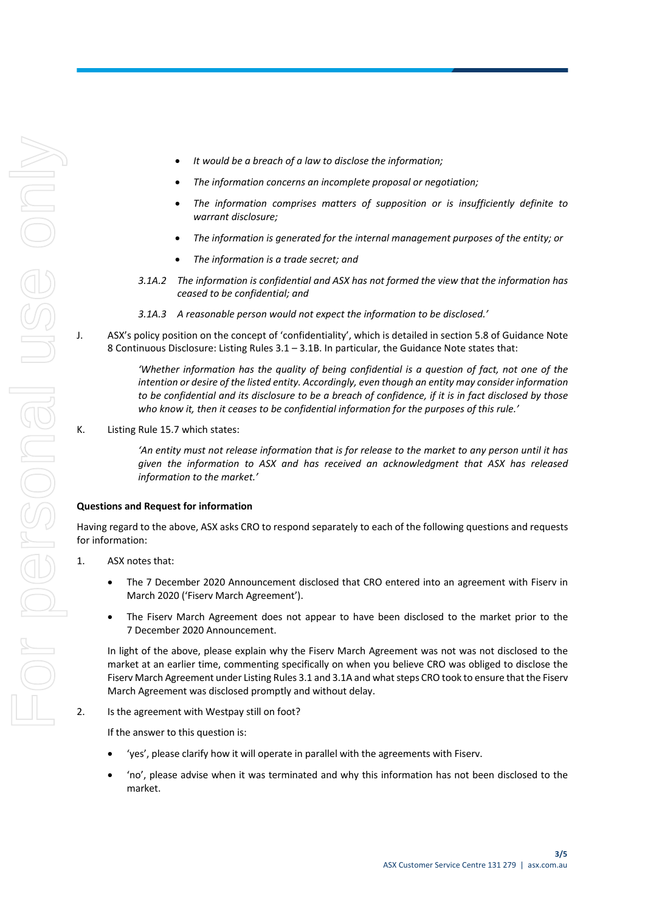- *It would be a breach of a law to disclose the information;*
- *The information concerns an incomplete proposal or negotiation;*
- *The information comprises matters of supposition or is insufficiently definite to warrant disclosure;*
- *The information is generated for the internal management purposes of the entity; or*
- *The information is a trade secret; and*
- *3.1A.2 The information is confidential and ASX has not formed the view that the information has ceased to be confidential; and*
- *3.1A.3 A reasonable person would not expect the information to be disclosed.'*
- J. ASX's policy position on the concept of 'confidentiality', which is detailed in section 5.8 of Guidance Note 8 Continuous Disclosure: Listing Rules 3.1 – 3.1B. In particular, the Guidance Note states that:

*'Whether information has the quality of being confidential is a question of fact, not one of the intention or desire of the listed entity. Accordingly, even though an entity may consider information to be confidential and its disclosure to be a breach of confidence, if it is in fact disclosed by those who know it, then it ceases to be confidential information for the purposes of this rule.'*

K. Listing Rule 15.7 which states:

*'An entity must not release information that is for release to the market to any person until it has given the information to ASX and has received an acknowledgment that ASX has released information to the market.'*

#### **Questions and Request for information**

Having regard to the above, ASX asks CRO to respond separately to each of the following questions and requests for information:

- 1. ASX notes that:
	- The 7 December 2020 Announcement disclosed that CRO entered into an agreement with Fiserv in March 2020 ('Fiserv March Agreement').
	- The Fiserv March Agreement does not appear to have been disclosed to the market prior to the 7 December 2020 Announcement.

In light of the above, please explain why the Fiserv March Agreement was not was not disclosed to the market at an earlier time, commenting specifically on when you believe CRO was obliged to disclose the Fiserv March Agreement under Listing Rules 3.1 and 3.1A and what steps CRO took to ensure that the Fiserv March Agreement was disclosed promptly and without delay.

2. Is the agreement with Westpay still on foot?

If the answer to this question is:

- 'yes', please clarify how it will operate in parallel with the agreements with Fiserv.
- 'no', please advise when it was terminated and why this information has not been disclosed to the market.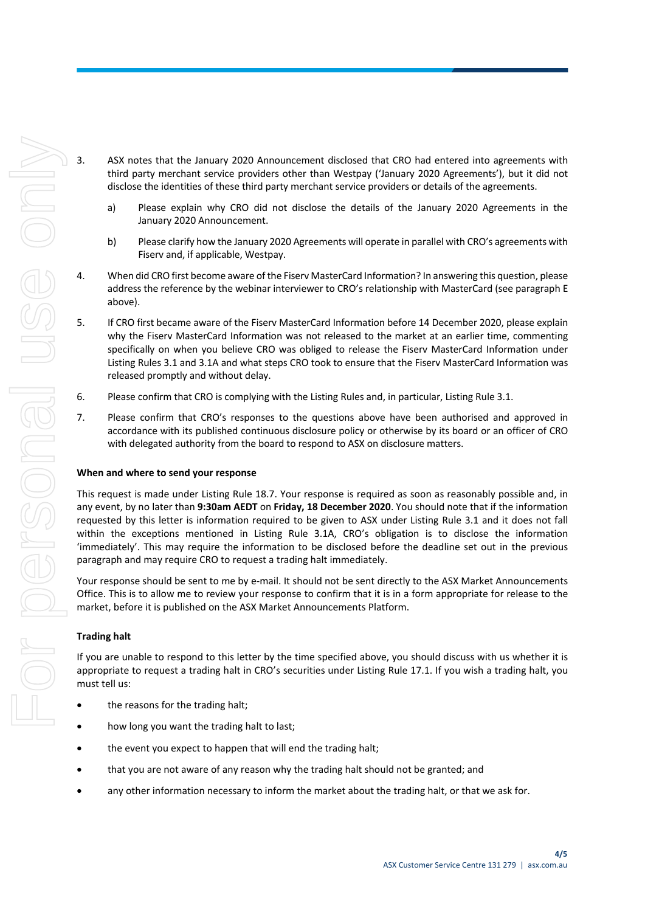- 3. ASX notes that the January 2020 Announcement disclosed that CRO had entered into agreements with third party merchant service providers other than Westpay ('January 2020 Agreements'), but it did not disclose the identities of these third party merchant service providers or details of the agreements.
	- a) Please explain why CRO did not disclose the details of the January 2020 Agreements in the January 2020 Announcement.
	- b) Please clarify how the January 2020 Agreements will operate in parallel with CRO's agreements with Fiserv and, if applicable, Westpay.
	- 4. When did CRO first become aware of the Fiserv MasterCard Information? In answering this question, please address the reference by the webinar interviewer to CRO's relationship with MasterCard (see paragrap[h E](#page-4-0) above).
	- 5. If CRO first became aware of the Fiserv MasterCard Information before 14 December 2020, please explain why the Fiserv MasterCard Information was not released to the market at an earlier time, commenting specifically on when you believe CRO was obliged to release the Fiserv MasterCard Information under Listing Rules 3.1 and 3.1A and what steps CRO took to ensure that the Fiserv MasterCard Information was released promptly and without delay.
	- 6. Please confirm that CRO is complying with the Listing Rules and, in particular, Listing Rule 3.1.
	- 7. Please confirm that CRO's responses to the questions above have been authorised and approved in accordance with its published continuous disclosure policy or otherwise by its board or an officer of CRO with delegated authority from the board to respond to ASX on disclosure matters.

#### **When and where to send your response**

This request is made under Listing Rule 18.7. Your response is required as soon as reasonably possible and, in any event, by no later than **9:30am AEDT** on **Friday, 18 December 2020**. You should note that if the information requested by this letter is information required to be given to ASX under Listing Rule 3.1 and it does not fall within the exceptions mentioned in Listing Rule 3.1A, CRO's obligation is to disclose the information 'immediately'. This may require the information to be disclosed before the deadline set out in the previous paragraph and may require CRO to request a trading halt immediately.

Your response should be sent to me by e-mail. It should not be sent directly to the ASX Market Announcements Office. This is to allow me to review your response to confirm that it is in a form appropriate for release to the market, before it is published on the ASX Market Announcements Platform.

### **Trading halt**

If you are unable to respond to this letter by the time specified above, you should discuss with us whether it is appropriate to request a trading halt in CRO's securities under Listing Rule 17.1. If you wish a trading halt, you must tell us:

- the reasons for the trading halt;
- how long you want the trading halt to last;
- the event you expect to happen that will end the trading halt;
- that you are not aware of any reason why the trading halt should not be granted; and
- any other information necessary to inform the market about the trading halt, or that we ask for.